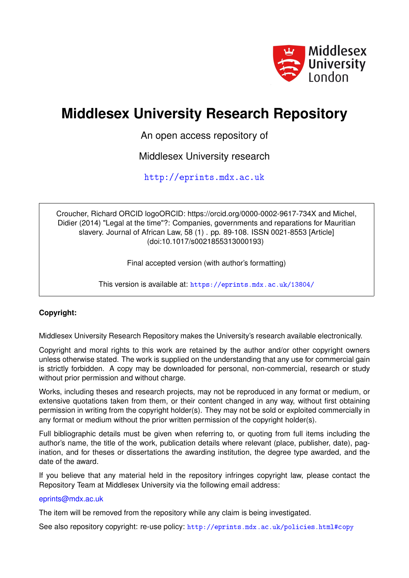

# **Middlesex University Research Repository**

An open access repository of

Middlesex University research

<http://eprints.mdx.ac.uk>

Croucher, Richard ORCID logoORCID: https://orcid.org/0000-0002-9617-734X and Michel, Didier (2014) "Legal at the time"?: Companies, governments and reparations for Mauritian slavery. Journal of African Law, 58 (1) . pp. 89-108. ISSN 0021-8553 [Article] (doi:10.1017/s0021855313000193)

Final accepted version (with author's formatting)

This version is available at: <https://eprints.mdx.ac.uk/13804/>

# **Copyright:**

Middlesex University Research Repository makes the University's research available electronically.

Copyright and moral rights to this work are retained by the author and/or other copyright owners unless otherwise stated. The work is supplied on the understanding that any use for commercial gain is strictly forbidden. A copy may be downloaded for personal, non-commercial, research or study without prior permission and without charge.

Works, including theses and research projects, may not be reproduced in any format or medium, or extensive quotations taken from them, or their content changed in any way, without first obtaining permission in writing from the copyright holder(s). They may not be sold or exploited commercially in any format or medium without the prior written permission of the copyright holder(s).

Full bibliographic details must be given when referring to, or quoting from full items including the author's name, the title of the work, publication details where relevant (place, publisher, date), pagination, and for theses or dissertations the awarding institution, the degree type awarded, and the date of the award.

If you believe that any material held in the repository infringes copyright law, please contact the Repository Team at Middlesex University via the following email address:

## [eprints@mdx.ac.uk](mailto:eprints@mdx.ac.uk)

The item will be removed from the repository while any claim is being investigated.

See also repository copyright: re-use policy: <http://eprints.mdx.ac.uk/policies.html#copy>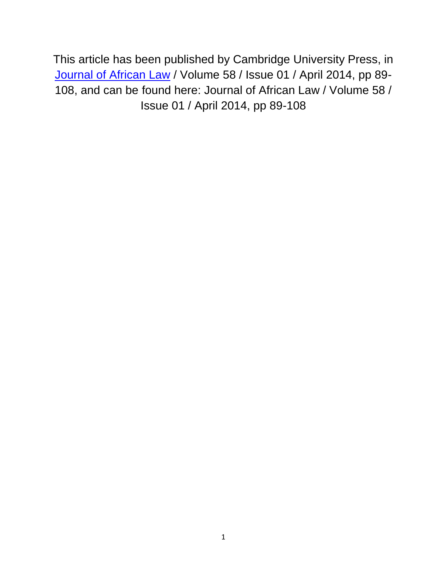This article has been published by Cambridge University Press, in Journal of [African Law](http://journals.cambridge.org/action/displayJournal?jid=JAL) / Volume 58 / Issue 01 / April 2014, pp 89- 108, and can be found here: Journal of African Law / Volume 58 / Issue 01 / April 2014, pp 89-108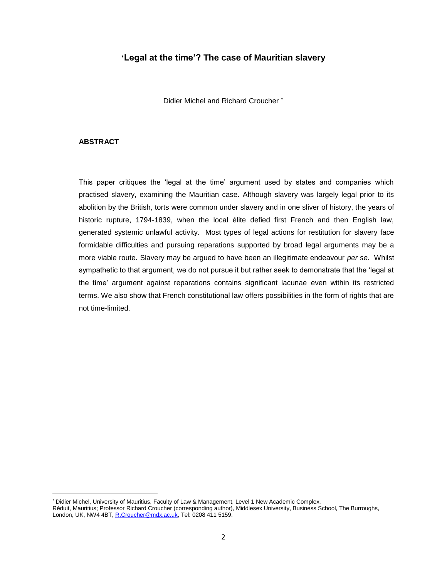## **'Legal at the time'? The case of Mauritian slavery**

Didier Michel and Richard Croucher

### **ABSTRACT**

 $\overline{a}$ 

This paper critiques the 'legal at the time' argument used by states and companies which practised slavery, examining the Mauritian case. Although slavery was largely legal prior to its abolition by the British, torts were common under slavery and in one sliver of history, the years of historic rupture, 1794-1839, when the local élite defied first French and then English law, generated systemic unlawful activity. Most types of legal actions for restitution for slavery face formidable difficulties and pursuing reparations supported by broad legal arguments may be a more viable route. Slavery may be argued to have been an illegitimate endeavour *per se*. Whilst sympathetic to that argument, we do not pursue it but rather seek to demonstrate that the 'legal at the time' argument against reparations contains significant lacunae even within its restricted terms. We also show that French constitutional law offers possibilities in the form of rights that are not time-limited.

<sup>\*</sup> Didier Michel, University of Mauritius, Faculty of Law & Management, Level 1 New Academic Complex, Réduit, Mauritius; Professor Richard Croucher (corresponding author), Middlesex University, Business School, The Burroughs, London, UK, NW4 4BT, [R.Croucher@mdx.ac.uk,](mailto:R.Croucher@mdx.ac.uk) Tel: 0208 411 5159.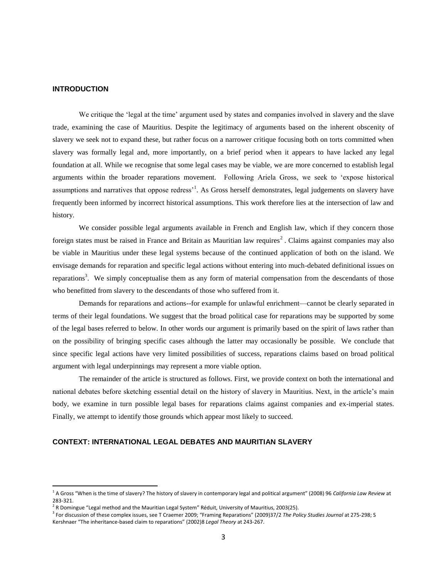#### **INTRODUCTION**

 $\overline{a}$ 

We critique the 'legal at the time' argument used by states and companies involved in slavery and the slave trade, examining the case of Mauritius. Despite the legitimacy of arguments based on the inherent obscenity of slavery we seek not to expand these, but rather focus on a narrower critique focusing both on torts committed when slavery was formally legal and, more importantly, on a brief period when it appears to have lacked any legal foundation at all. While we recognise that some legal cases may be viable, we are more concerned to establish legal arguments within the broader reparations movement. Following Ariela Gross, we seek to 'expose historical assumptions and narratives that oppose redress<sup>1</sup>. As Gross herself demonstrates, legal judgements on slavery have frequently been informed by incorrect historical assumptions. This work therefore lies at the intersection of law and history.

We consider possible legal arguments available in French and English law, which if they concern those foreign states must be raised in France and Britain as Mauritian law requires<sup>2</sup>. Claims against companies may also be viable in Mauritius under these legal systems because of the continued application of both on the island. We envisage demands for reparation and specific legal actions without entering into much-debated definitional issues on reparations<sup>3</sup>. We simply conceptualise them as any form of material compensation from the descendants of those who benefitted from slavery to the descendants of those who suffered from it.

Demands for reparations and actions--for example for unlawful enrichment—cannot be clearly separated in terms of their legal foundations. We suggest that the broad political case for reparations may be supported by some of the legal bases referred to below. In other words our argument is primarily based on the spirit of laws rather than on the possibility of bringing specific cases although the latter may occasionally be possible. We conclude that since specific legal actions have very limited possibilities of success, reparations claims based on broad political argument with legal underpinnings may represent a more viable option.

The remainder of the article is structured as follows. First, we provide context on both the international and national debates before sketching essential detail on the history of slavery in Mauritius. Next, in the article's main body, we examine in turn possible legal bases for reparations claims against companies and ex-imperial states. Finally, we attempt to identify those grounds which appear most likely to succeed.

## **CONTEXT: INTERNATIONAL LEGAL DEBATES AND MAURITIAN SLAVERY**

<sup>&</sup>lt;sup>1</sup> A Gross "When is the time of slavery? The history of slavery in contemporary legal and political argument" (2008) 96 *California Law Review* at 283-321.

 $^2$  R Domingue "Legal method and the Mauritian Legal System" Réduit, University of Mauritius, 2003(25).

<sup>3</sup> For discussion of these complex issues, see T Craemer 2009; "Framing Reparations" (2009)37/2 *The Policy Studies Journal* at 275-298; S Kershnaer "The inheritance-based claim to reparations" (2002)8 *Legal Theory* at 243-267.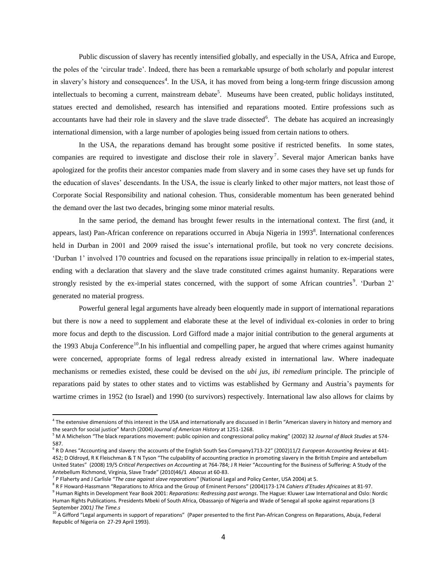Public discussion of slavery has recently intensified globally, and especially in the USA, Africa and Europe, the poles of the 'circular trade'. Indeed, there has been a remarkable upsurge of both scholarly and popular interest in slavery's history and consequences<sup>4</sup>. In the USA, it has moved from being a long-term fringe discussion among intellectuals to becoming a current, mainstream debate<sup>5</sup>. Museums have been created, public holidays instituted, statues erected and demolished, research has intensified and reparations mooted. Entire professions such as accountants have had their role in slavery and the slave trade dissected $6$ . The debate has acquired an increasingly international dimension, with a large number of apologies being issued from certain nations to others.

In the USA, the reparations demand has brought some positive if restricted benefits. In some states, companies are required to investigate and disclose their role in slavery<sup>7</sup>. Several major American banks have apologized for the profits their ancestor companies made from slavery and in some cases they have set up funds for the education of slaves' descendants. In the USA, the issue is clearly linked to other major matters, not least those of Corporate Social Responsibility and national cohesion. Thus, considerable momentum has been generated behind the demand over the last two decades, bringing some minor material results.

In the same period, the demand has brought fewer results in the international context. The first (and, it appears, last) Pan-African conference on reparations occurred in Abuja Nigeria in 1993<sup>8</sup>. International conferences held in Durban in 2001 and 2009 raised the issue's international profile, but took no very concrete decisions. 'Durban 1' involved 170 countries and focused on the reparations issue principally in relation to ex-imperial states, ending with a declaration that slavery and the slave trade constituted crimes against humanity. Reparations were strongly resisted by the ex-imperial states concerned, with the support of some African countries<sup>9</sup>. 'Durban 2' generated no material progress.

Powerful general legal arguments have already been eloquently made in support of international reparations but there is now a need to supplement and elaborate these at the level of individual ex-colonies in order to bring more focus and depth to the discussion. Lord Gifford made a major initial contribution to the general arguments at the 1993 Abuja Conference<sup>10</sup>. In his influential and compelling paper, he argued that where crimes against humanity were concerned, appropriate forms of legal redress already existed in international law. Where inadequate mechanisms or remedies existed, these could be devised on the *ubi jus, ibi remedium* principle. The principle of reparations paid by states to other states and to victims was established by Germany and Austria's payments for wartime crimes in 1952 (to Israel) and 1990 (to survivors) respectively. International law also allows for claims by

<sup>&</sup>lt;sup>4</sup> The extensive dimensions of this interest in the USA and internationally are discussed in I Berlin "American slavery in history and memory and the search for social justice" March (2004) *Journal of American History* at 1251-1268.

<sup>5</sup> M A Michelson "The black reparations movement: public opinion and congressional policy making" (2002) 32 *Journal of Black Studies* at 574- 587.

<sup>6</sup> R D Anes "Accounting and slavery: the accounts of the English South Sea Company1713-22" (2002)11/2 *European Accounting Review* at 441- 452; D Oldroyd, R K Fleischman & T N Tyson "The culpability of accounting practice in promoting slavery in the British Empire and antebellum United States" (2008) 19/5 *Critical Perspectives on Accounting* at 764-784; J R Heier "Accounting for the Business of Suffering: A Study of the Antebellum Richmond, Virginia, Slave Trade" (2010)46/1 *Abacus* at 60-83.

<sup>7</sup> P Flaherty and J Carlisle "*The case against slave reparations"* (National Legal and Policy Center, USA 2004) at 5.

<sup>8</sup> R F Howard-Hassmann "Reparations to Africa and the Group of Eminent Persons" (2004)173-174 *Cahiers d'Etudes Africaines* at 81-97. 9 Human Rights in Development Year Book 2001: *Reparations: Redressing past wrongs*. The Hague: Kluwer Law International and Oslo: Nordic Human Rights Publications. Presidents Mbeki of South Africa, Obassanjo of Nigeria and Wade of Senegal all spoke against reparations (3 September 2001*) The Time.s*

<sup>&</sup>lt;sup>10</sup> A Gifford "Legal arguments in support of reparations" (Paper presented to the first Pan-African Congress on Reparations, Abuja, Federal Republic of Nigeria on 27-29 April 1993).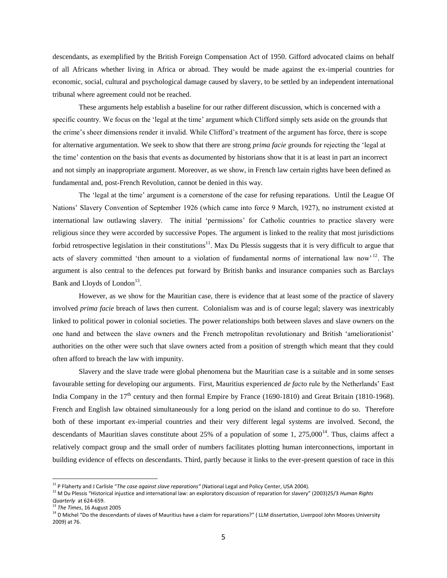descendants, as exemplified by the British Foreign Compensation Act of 1950. Gifford advocated claims on behalf of all Africans whether living in Africa or abroad. They would be made against the ex-imperial countries for economic, social, cultural and psychological damage caused by slavery, to be settled by an independent international tribunal where agreement could not be reached.

These arguments help establish a baseline for our rather different discussion, which is concerned with a specific country. We focus on the 'legal at the time' argument which Clifford simply sets aside on the grounds that the crime's sheer dimensions render it invalid. While Clifford's treatment of the argument has force, there is scope for alternative argumentation. We seek to show that there are strong *prima facie* grounds for rejecting the 'legal at the time' contention on the basis that events as documented by historians show that it is at least in part an incorrect and not simply an inappropriate argument. Moreover, as we show, in French law certain rights have been defined as fundamental and, post-French Revolution, cannot be denied in this way.

The 'legal at the time' argument is a cornerstone of the case for refusing reparations. Until the League Of Nations' Slavery Convention of September 1926 (which came into force 9 March, 1927), no instrument existed at international law outlawing slavery. The initial 'permissions' for Catholic countries to practice slavery were religious since they were accorded by successive Popes. The argument is linked to the reality that most jurisdictions forbid retrospective legislation in their constitutions<sup>11</sup>. Max Du Plessis suggests that it is very difficult to argue that acts of slavery committed 'then amount to a violation of fundamental norms of international law now'<sup>12</sup>. The argument is also central to the defences put forward by British banks and insurance companies such as Barclays Bank and Lloyds of London<sup>13</sup>.

However, as we show for the Mauritian case, there is evidence that at least some of the practice of slavery involved *prima facie* breach of laws then current. Colonialism was and is of course legal; slavery was inextricably linked to political power in colonial societies. The power relationships both between slaves and slave owners on the one hand and between the slave owners and the French metropolitan revolutionary and British 'ameliorationist' authorities on the other were such that slave owners acted from a position of strength which meant that they could often afford to breach the law with impunity.

Slavery and the slave trade were global phenomena but the Mauritian case is a suitable and in some senses favourable setting for developing our arguments. First, Mauritius experienced *de facto* rule by the Netherlands' East India Company in the  $17<sup>th</sup>$  century and then formal Empire by France (1690-1810) and Great Britain (1810-1968). French and English law obtained simultaneously for a long period on the island and continue to do so. Therefore both of these important ex-imperial countries and their very different legal systems are involved. Second, the descendants of Mauritian slaves constitute about 25% of a population of some 1,  $275,000^{14}$ . Thus, claims affect a relatively compact group and the small order of numbers facilitates plotting human interconnections, important in building evidence of effects on descendants. Third, partly because it links to the ever-present question of race in this

<sup>11</sup> P Flaherty and J Carlisle "*The case against slave reparations"* (National Legal and Policy Center, USA 2004).

<sup>12</sup> M Du Plessis "Historical injustice and international law: an exploratory discussion of reparation for slavery" (2003)25/3 *Human Rights Quarterly* at 624-659.

<sup>13</sup> *The Times*, 16 August 2005

<sup>&</sup>lt;sup>14</sup> D Michel "Do the descendants of slaves of Mauritius have a claim for reparations?" (LLM dissertation, Liverpool John Moores University 2009) at 76.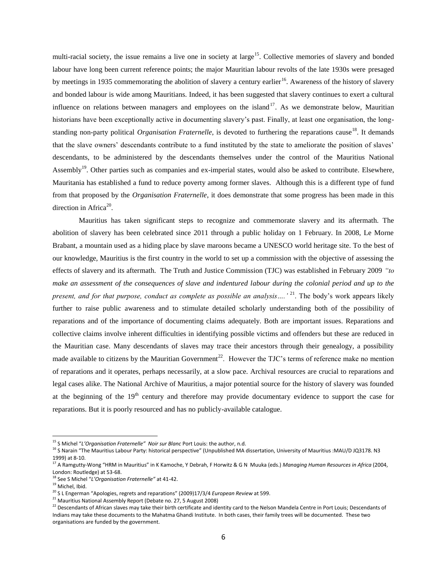multi-racial society, the issue remains a live one in society at large<sup>15</sup>. Collective memories of slavery and bonded labour have long been current reference points; the major Mauritian labour revolts of the late 1930s were presaged by meetings in 1935 commemorating the abolition of slavery a century earlier<sup>16</sup>. Awareness of the history of slavery and bonded labour is wide among Mauritians. Indeed, it has been suggested that slavery continues to exert a cultural influence on relations between managers and employees on the island<sup>17</sup>. As we demonstrate below, Mauritian historians have been exceptionally active in documenting slavery's past. Finally, at least one organisation, the longstanding non-party political *Organisation Fraternelle*, is devoted to furthering the reparations cause<sup>18</sup>. It demands that the slave owners' descendants contribute to a fund instituted by the state to ameliorate the position of slaves' descendants, to be administered by the descendants themselves under the control of the Mauritius National Assembly<sup>19</sup>. Other parties such as companies and ex-imperial states, would also be asked to contribute. Elsewhere, Mauritania has established a fund to reduce poverty among former slaves. Although this is a different type of fund from that proposed by the *Organisation Fraternelle*, it does demonstrate that some progress has been made in this direction in Africa<sup>20</sup>.

Mauritius has taken significant steps to recognize and commemorate slavery and its aftermath. The abolition of slavery has been celebrated since 2011 through a public holiday on 1 February. In 2008, Le Morne Brabant, a mountain used as a hiding place by slave maroons became a UNESCO world heritage site. To the best of our knowledge, Mauritius is the first country in the world to set up a commission with the objective of assessing the effects of slavery and its aftermath. The Truth and Justice Commission (TJC) was established in February 2009 *"to make an assessment of the consequences of slave and indentured labour during the colonial period and up to the present, and for that purpose, conduct as complete as possible an analysis….'* <sup>21</sup>. The body's work appears likely further to raise public awareness and to stimulate detailed scholarly understanding both of the possibility of reparations and of the importance of documenting claims adequately. Both are important issues. Reparations and collective claims involve inherent difficulties in identifying possible victims and offenders but these are reduced in the Mauritian case. Many descendants of slaves may trace their ancestors through their genealogy, a possibility made available to citizens by the Mauritian Government<sup>22</sup>. However the TJC's terms of reference make no mention of reparations and it operates, perhaps necessarily, at a slow pace. Archival resources are crucial to reparations and legal cases alike. The National Archive of Mauritius, a major potential source for the history of slavery was founded at the beginning of the  $19<sup>th</sup>$  century and therefore may provide documentary evidence to support the case for reparations. But it is poorly resourced and has no publicly-available catalogue.

<sup>15</sup> S Michel "*L'Organisation Fraternelle" Noir sur Blanc* Port Louis: the author, n.d.

<sup>16</sup> S Narain "The Mauritius Labour Party: historical perspective" (Unpublished MA dissertation, University of Mauritius :MAU/D JQ3178. N3 1999) at 8-10.

<sup>17</sup> A Ramgutty-Wong "HRM in Mauritius" in K Kamoche, Y Debrah, F Horwitz & G N Muuka (eds.) *Managing Human Resources in Africa* (2004, London: Routledge) at 53-68.

<sup>18</sup> See S Michel "*L'Organisation Fraternelle"* at 41-42.

<sup>&</sup>lt;sup>19</sup> Michel, Ibid.

<sup>20</sup> S L Engerman "Apologies, regrets and reparations" (2009)17/3/4 *European Review* at 599.

<sup>21</sup> Mauritius National Assembly Report (Debate no. 27, 5 August 2008)

<sup>&</sup>lt;sup>22</sup> Descendants of African slaves may take their birth certificate and identity card to the Nelson Mandela Centre in Port Louis; Descendants of Indians may take these documents to the Mahatma Ghandi Institute. In both cases, their family trees will be documented. These two organisations are funded by the government.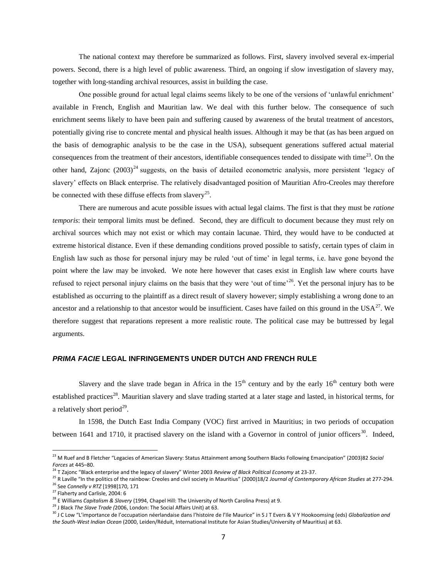The national context may therefore be summarized as follows. First, slavery involved several ex-imperial powers. Second, there is a high level of public awareness. Third, an ongoing if slow investigation of slavery may, together with long-standing archival resources, assist in building the case.

One possible ground for actual legal claims seems likely to be one of the versions of 'unlawful enrichment' available in French, English and Mauritian law. We deal with this further below. The consequence of such enrichment seems likely to have been pain and suffering caused by awareness of the brutal treatment of ancestors, potentially giving rise to concrete mental and physical health issues. Although it may be that (as has been argued on the basis of demographic analysis to be the case in the USA), subsequent generations suffered actual material consequences from the treatment of their ancestors, identifiable consequences tended to dissipate with time $^{23}$ . On the other hand, Zajonc  $(2003)^{24}$  suggests, on the basis of detailed econometric analysis, more persistent 'legacy of slavery' effects on Black enterprise. The relatively disadvantaged position of Mauritian Afro-Creoles may therefore be connected with these diffuse effects from slavery<sup>25</sup>.

There are numerous and acute possible issues with actual legal claims. The first is that they must be *ratione temporis*: their temporal limits must be defined. Second, they are difficult to document because they must rely on archival sources which may not exist or which may contain lacunae. Third, they would have to be conducted at extreme historical distance. Even if these demanding conditions proved possible to satisfy, certain types of claim in English law such as those for personal injury may be ruled 'out of time' in legal terms, i.e. have gone beyond the point where the law may be invoked. We note here however that cases exist in English law where courts have refused to reject personal injury claims on the basis that they were 'out of time'<sup>26</sup>. Yet the personal injury has to be established as occurring to the plaintiff as a direct result of slavery however; simply establishing a wrong done to an ancestor and a relationship to that ancestor would be insufficient. Cases have failed on this ground in the  $USA^{27}$ . We therefore suggest that reparations represent a more realistic route. The political case may be buttressed by legal arguments.

#### *PRIMA FACIE* **LEGAL INFRINGEMENTS UNDER DUTCH AND FRENCH RULE**

Slavery and the slave trade began in Africa in the  $15<sup>th</sup>$  century and by the early  $16<sup>th</sup>$  century both were established practices<sup>28</sup>. Mauritian slavery and slave trading started at a later stage and lasted, in historical terms, for a relatively short period $^{29}$ .

In 1598, the Dutch East India Company (VOC) first arrived in Mauritius; in two periods of occupation between 1641 and 1710, it practised slavery on the island with a Governor in control of junior officers<sup>30</sup>. Indeed,

<sup>23</sup> M Ruef and B Fletcher "Legacies of American Slavery: Status Attainment among Southern Blacks Following Emancipation" (2003)82 *Social Forces* at 445–80.

<sup>24</sup> T Zajonc "Black enterprise and the legacy of slavery" Winter 2003 *Review of Black Political Economy* at 23-37.

<sup>25</sup> R Laville "In the politics of the rainbow: Creoles and civil society in Mauritius" (2000)18/2 *Journal of Contemporary African Studies* at 277-294. <sup>26</sup> See *Connelly v RTZ* [1998]170, 171

<sup>&</sup>lt;sup>27</sup> Flaherty and Carlisle, 2004: 6

<sup>28</sup> E Williams *Capitalism & Slavery* (1994, Chapel Hill: The University of North Carolina Press) at 9.

<sup>29</sup> J Black *The Slave Trade (*2006, London: The Social Affairs Unit) at 63.

<sup>&</sup>lt;sup>30</sup> J C Low "L'importance de l'occupation néerlandaise dans l'histoire de l'Ile Maurice" in S J T Evers & V Y Hookoomsing (eds) Globalization and *the South-West Indian Ocean* (2000, Leiden/Réduit, International Institute for Asian Studies/University of Mauritius) at 63.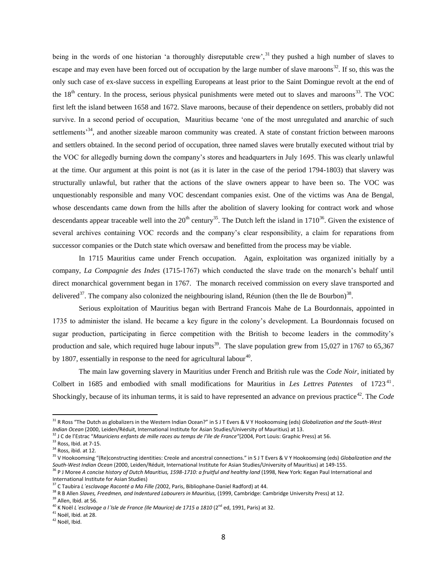being in the words of one historian 'a thoroughly disreputable crew',<sup>31</sup> they pushed a high number of slaves to escape and may even have been forced out of occupation by the large number of slave maroons $32$ . If so, this was the only such case of ex-slave success in expelling Europeans at least prior to the Saint Domingue revolt at the end of the  $18<sup>th</sup>$  century. In the process, serious physical punishments were meted out to slaves and maroons<sup>33</sup>. The VOC first left the island between 1658 and 1672. Slave maroons, because of their dependence on settlers, probably did not survive. In a second period of occupation, Mauritius became 'one of the most unregulated and anarchic of such settlements<sup>34</sup>, and another sizeable maroon community was created. A state of constant friction between maroons and settlers obtained. In the second period of occupation, three named slaves were brutally executed without trial by the VOC for allegedly burning down the company's stores and headquarters in July 1695. This was clearly unlawful at the time. Our argument at this point is not (as it is later in the case of the period 1794-1803) that slavery was structurally unlawful, but rather that the actions of the slave owners appear to have been so. The VOC was unquestionably responsible and many VOC descendant companies exist. One of the victims was Ana de Bengal, whose descendants came down from the hills after the abolition of slavery looking for contract work and whose descendants appear traceable well into the  $20^{th}$  century<sup>35</sup>. The Dutch left the island in  $1710^{36}$ . Given the existence of several archives containing VOC records and the company's clear responsibility, a claim for reparations from successor companies or the Dutch state which oversaw and benefitted from the process may be viable.

In 1715 Mauritius came under French occupation. Again, exploitation was organized initially by a company, *La Compagnie des Indes* (1715-1767) which conducted the slave trade on the monarch's behalf until direct monarchical government began in 1767. The monarch received commission on every slave transported and delivered<sup>37</sup>. The company also colonized the neighbouring island, Réunion (then the Ile de Bourbon)<sup>38</sup>.

Serious exploitation of Mauritius began with Bertrand Francois Mahe de La Bourdonnais, appointed in 1735 to administer the island. He became a key figure in the colony's development. La Bourdonnais focused on sugar production, participating in fierce competition with the British to become leaders in the commodity's production and sale, which required huge labour inputs<sup>39</sup>. The slave population grew from 15,027 in 1767 to 65,367 by 1807, essentially in response to the need for agricultural labour<sup>40</sup>.

The main law governing slavery in Mauritius under French and British rule was the *Code Noir*, initiated by Colbert in 1685 and embodied with small modifications for Mauritius in Les Lettres Patentes of 1723<sup>41</sup>. Shockingly, because of its inhuman terms, it is said to have represented an advance on previous practice<sup>42</sup>. The *Code* 

<sup>31</sup> R Ross "The Dutch as globalizers in the Western Indian Ocean?" in S J T Evers & V Y Hookoomsing (eds) *Globalization and the South-West Indian Ocean* (2000, Leiden/Réduit, International Institute for Asian Studies/University of Mauritius) at 13.

<sup>32</sup> J C de l'Estrac "*Mauriciens enfants de mille races au temps de l'Ile de France"*(2004, Port Louis: Graphic Press) at 56.

 $33$  Ross, Ibid. at 7-15.

<sup>&</sup>lt;sup>34</sup> Ross, ibid. at 12.

<sup>35</sup> V Hookoomsing "(Re)constructing identities: Creole and ancestral connections." in S J T Evers & V Y Hookoomsing (eds) *Globalization and the South-West Indian Ocean* (2000, Leiden/Réduit, International Institute for Asian Studies/University of Mauritius) at 149-155.

<sup>&</sup>lt;sup>36</sup> P J Moree *A concise history of Dutch Mauritius, 1598-1710: a fruitful and healthy land (1998, New York: Kegan Paul International and* International Institute for Asian Studies)

<sup>37</sup> C Taubira *L'esclavage Raconté a Ma Fille (*2002, Paris, Bibliophane-Daniel Radford) at 44.

<sup>&</sup>lt;sup>38</sup> R B Allen Slaves, Freedmen, and Indentured Labourers in Mauritius, (1999, Cambridge: Cambridge University Press) at 12.

<sup>&</sup>lt;sup>39</sup> Allen, Ibid. at 56.

<sup>40</sup> K Noël *L'esclavage a l'Isle de France (Ile Maurice) de 1715 a 1810* (2nd ed, 1991, Paris) at 32.

<sup>41</sup> Noël, Ibid. at 28.

<sup>42</sup> Noël, Ibid.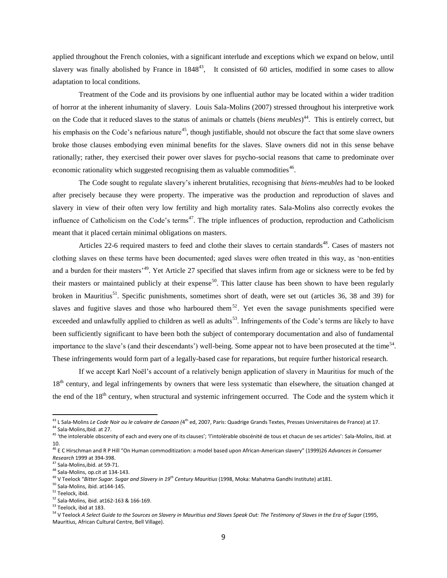applied throughout the French colonies, with a significant interlude and exceptions which we expand on below, until slavery was finally abolished by France in  $1848^{43}$ , It consisted of 60 articles, modified in some cases to allow adaptation to local conditions.

Treatment of the Code and its provisions by one influential author may be located within a wider tradition of horror at the inherent inhumanity of slavery. Louis Sala-Molins (2007) stressed throughout his interpretive work on the Code that it reduced slaves to the status of animals or chattels (*biens meubles*) <sup>44</sup>. This is entirely correct, but his emphasis on the Code's nefarious nature<sup>45</sup>, though justifiable, should not obscure the fact that some slave owners broke those clauses embodying even minimal benefits for the slaves. Slave owners did not in this sense behave rationally; rather, they exercised their power over slaves for psycho-social reasons that came to predominate over economic rationality which suggested recognising them as valuable commodities<sup>46</sup>.

The Code sought to regulate slavery's inherent brutalities, recognising that *biens-meubles* had to be looked after precisely because they were property. The imperative was the production and reproduction of slaves and slavery in view of their often very low fertility and high mortality rates. Sala-Molins also correctly evokes the influence of Catholicism on the Code's terms<sup>47</sup>. The triple influences of production, reproduction and Catholicism meant that it placed certain minimal obligations on masters.

Articles 22-6 required masters to feed and clothe their slaves to certain standards<sup>48</sup>. Cases of masters not clothing slaves on these terms have been documented; aged slaves were often treated in this way, as 'non-entities and a burden for their masters<sup>'49</sup>. Yet Article 27 specified that slaves infirm from age or sickness were to be fed by their masters or maintained publicly at their expense<sup>50</sup>. This latter clause has been shown to have been regularly broken in Mauritius<sup>51</sup>. Specific punishments, sometimes short of death, were set out (articles 36, 38 and 39) for slaves and fugitive slaves and those who harboured them<sup>52</sup>. Yet even the savage punishments specified were exceeded and unlawfully applied to children as well as adults<sup>53</sup>. Infringements of the Code's terms are likely to have been sufficiently significant to have been both the subject of contemporary documentation and also of fundamental importance to the slave's (and their descendants') well-being. Some appear not to have been prosecuted at the time<sup>54</sup>. These infringements would form part of a legally-based case for reparations, but require further historical research.

If we accept Karl Noël's account of a relatively benign application of slavery in Mauritius for much of the 18<sup>th</sup> century, and legal infringements by owners that were less systematic than elsewhere, the situation changed at the end of the 18<sup>th</sup> century, when structural and systemic infringement occurred. The Code and the system which it

<sup>&</sup>lt;sup>43</sup> L Sala-Molins *Le Code Noir ou le calvaire de Canaan (*4<sup>th</sup> ed, 2007, Paris: Quadrige Grands Textes, Presses Universitaires de France) at 17.

<sup>&</sup>lt;sup>44</sup> Sala-Molins, Ibid. at 27.

<sup>&</sup>lt;sup>45</sup> 'the intolerable obscenity of each and every one of its clauses'; 'l'intolérable obscénité de tous et chacun de ses articles': Sala-Molins, ibid. at 10.

<sup>46</sup> E C Hirschman and R P Hill "On Human commoditization: a model based upon African-American slavery" (1999)26 *Advances in Consumer Research* 1999 at 394-398.

<sup>47</sup> Sala-Molins,ibid. at 59-71.

<sup>48</sup> Sala-Molins, op.cit at 134-143.

<sup>49</sup> V Teelock "*Bitter Sugar. Sugar and Slavery in 19th Century Mauritius* (1998, Moka: Mahatma Gandhi Institute) at181.

<sup>50</sup> Sala-Molins, ibid. at144-145.

<sup>&</sup>lt;sup>51</sup> Teelock, ibid.

<sup>52</sup> Sala-Molins, ibid. at162-163 & 166-169.

<sup>53</sup> Teelock, ibid at 183.

<sup>&</sup>lt;sup>54</sup> V Teelock A Select Guide to the Sources on Slavery in Mauritius and Slaves Speak Out: The Testimony of Slaves in the Era of Sugar (1995, Mauritius, African Cultural Centre, Bell Village).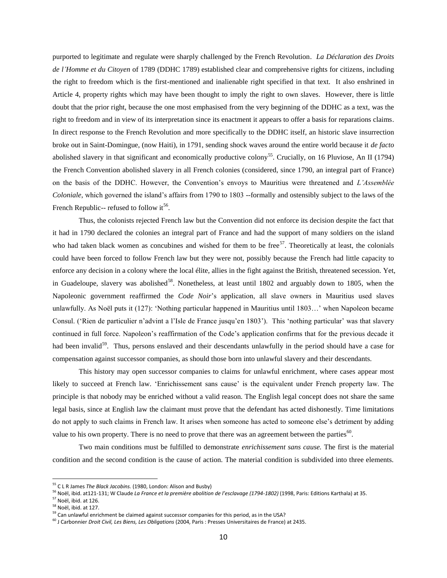purported to legitimate and regulate were sharply challenged by the French Revolution. *La Déclaration des Droits de l'Homme et du Citoyen* of 1789 (DDHC 1789) established clear and comprehensive rights for citizens, including the right to freedom which is the first-mentioned and inalienable right specified in that text. It also enshrined in Article 4, property rights which may have been thought to imply the right to own slaves. However, there is little doubt that the prior right, because the one most emphasised from the very beginning of the DDHC as a text, was the right to freedom and in view of its interpretation since its enactment it appears to offer a basis for reparations claims. In direct response to the French Revolution and more specifically to the DDHC itself, an historic slave insurrection broke out in Saint-Domingue, (now Haiti), in 1791, sending shock waves around the entire world because it *de facto* abolished slavery in that significant and economically productive colony<sup>55</sup>. Crucially, on 16 Pluviose, An II (1794) the French Convention abolished slavery in all French colonies (considered, since 1790, an integral part of France) on the basis of the DDHC. However, the Convention's envoys to Mauritius were threatened and *L'Assemblée Coloniale*, which governed the island's affairs from 1790 to 1803 --formally and ostensibly subject to the laws of the French Republic-- refused to follow it<sup>56</sup>.

Thus, the colonists rejected French law but the Convention did not enforce its decision despite the fact that it had in 1790 declared the colonies an integral part of France and had the support of many soldiers on the island who had taken black women as concubines and wished for them to be free $57$ . Theoretically at least, the colonials could have been forced to follow French law but they were not, possibly because the French had little capacity to enforce any decision in a colony where the local élite, allies in the fight against the British, threatened secession. Yet, in Guadeloupe, slavery was abolished<sup>58</sup>. Nonetheless, at least until  $1802$  and arguably down to  $1805$ , when the Napoleonic government reaffirmed the *Code Noir*'s application, all slave owners in Mauritius used slaves unlawfully. As Noël puts it (127): 'Nothing particular happened in Mauritius until 1803…' when Napoleon became Consul. ('Rien de particulier n'advint a l'Isle de France jusqu'en 1803'). This 'nothing particular' was that slavery continued in full force. Napoleon's reaffirmation of the Code's application confirms that for the previous decade it had been invalid<sup>59</sup>. Thus, persons enslaved and their descendants unlawfully in the period should have a case for compensation against successor companies, as should those born into unlawful slavery and their descendants.

This history may open successor companies to claims for unlawful enrichment, where cases appear most likely to succeed at French law. 'Enrichissement sans cause' is the equivalent under French property law. The principle is that nobody may be enriched without a valid reason. The English legal concept does not share the same legal basis, since at English law the claimant must prove that the defendant has acted dishonestly. Time limitations do not apply to such claims in French law. It arises when someone has acted to someone else's detriment by adding value to his own property. There is no need to prove that there was an agreement between the parties $^{60}$ .

Two main conditions must be fulfilled to demonstrate *enrichissement sans cause.* The first is the material condition and the second condition is the cause of action. The material condition is subdivided into three elements.

<sup>55</sup> C L R James *The Black Jacobins.* (1980, London: Alison and Busby)

<sup>56</sup> Noël, ibid. at121-131; W Claude *La France et la première abolition de l'esclavage (1794-1802)* (1998, Paris: Editions Karthala) at 35.

<sup>57</sup> Noël, ibid. at 126.

<sup>58</sup> Noël, ibid. at 127.

<sup>&</sup>lt;sup>59</sup> Can unlawful enrichment be claimed against successor companies for this period, as in the USA?

<sup>60</sup> J Carbonnier *Droit Civil, Les Biens, Les Obligations* (2004, Paris : Presses Universitaires de France) at 2435.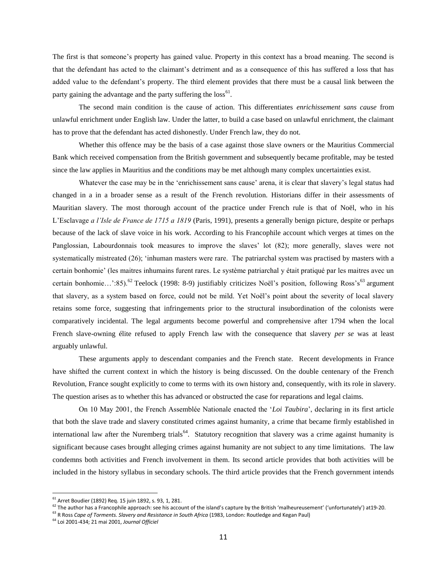The first is that someone's property has gained value. Property in this context has a broad meaning. The second is that the defendant has acted to the claimant's detriment and as a consequence of this has suffered a loss that has added value to the defendant's property. The third element provides that there must be a causal link between the party gaining the advantage and the party suffering the loss<sup>61</sup>.

The second main condition is the cause of action. This differentiates *enrichissement sans cause* from unlawful enrichment under English law. Under the latter, to build a case based on unlawful enrichment, the claimant has to prove that the defendant has acted dishonestly. Under French law, they do not.

Whether this offence may be the basis of a case against those slave owners or the Mauritius Commercial Bank which received compensation from the British government and subsequently became profitable, may be tested since the law applies in Mauritius and the conditions may be met although many complex uncertainties exist.

Whatever the case may be in the 'enrichissement sans cause' arena, it is clear that slavery's legal status had changed in a in a broader sense as a result of the French revolution. Historians differ in their assessments of Mauritian slavery. The most thorough account of the practice under French rule is that of Noël, who in his L'Esclavage *a l'Isle de France de 1715 a 1819* (Paris, 1991)*,* presents a generally benign picture, despite or perhaps because of the lack of slave voice in his work. According to his Francophile account which verges at times on the Panglossian, Labourdonnais took measures to improve the slaves' lot (82); more generally, slaves were not systematically mistreated (26); 'inhuman masters were rare. The patriarchal system was practised by masters with a certain bonhomie' (les maitres inhumains furent rares. Le système patriarchal y était pratiqué par les maitres avec un certain bonhomie...':85).<sup>62</sup> Teelock (1998: 8-9) justifiably criticizes Noël's position, following Ross's<sup>63</sup> argument that slavery, as a system based on force, could not be mild. Yet Noël's point about the severity of local slavery retains some force, suggesting that infringements prior to the structural insubordination of the colonists were comparatively incidental. The legal arguments become powerful and comprehensive after 1794 when the local French slave-owning élite refused to apply French law with the consequence that slavery *per se* was at least arguably unlawful.

These arguments apply to descendant companies and the French state. Recent developments in France have shifted the current context in which the history is being discussed. On the double centenary of the French Revolution, France sought explicitly to come to terms with its own history and, consequently, with its role in slavery. The question arises as to whether this has advanced or obstructed the case for reparations and legal claims.

On 10 May 2001, the French Assemblée Nationale enacted the '*Loi Taubira*', declaring in its first article that both the slave trade and slavery constituted crimes against humanity, a crime that became firmly established in international law after the Nuremberg trials<sup>64</sup>. Statutory recognition that slavery was a crime against humanity is significant because cases brought alleging crimes against humanity are not subject to any time limitations. The law condemns both activities and French involvement in them. Its second article provides that both activities will be included in the history syllabus in secondary schools. The third article provides that the French government intends

l

 $^{61}$  Arret Boudier (1892) Req. 15 juin 1892, s. 93, 1, 281.

<sup>&</sup>lt;sup>62</sup> The author has a Francophile approach: see his account of the island's capture by the British 'malheureusement' ('unfortunately') at 19-20.

<sup>63</sup> R Ross *Cape of Torments. Slavery and Resistance in South Africa* (1983, London: Routledge and Kegan Paul)

<sup>64</sup> Loi 2001-434; 21 mai 2001, *Journal Officiel*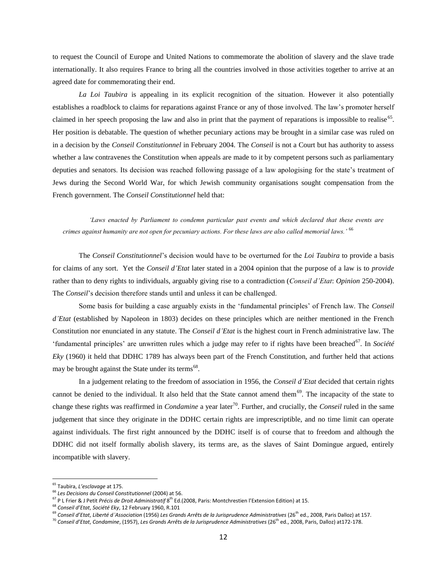to request the Council of Europe and United Nations to commemorate the abolition of slavery and the slave trade internationally. It also requires France to bring all the countries involved in those activities together to arrive at an agreed date for commemorating their end.

*La Loi Taubira* is appealing in its explicit recognition of the situation. However it also potentially establishes a roadblock to claims for reparations against France or any of those involved. The law's promoter herself claimed in her speech proposing the law and also in print that the payment of reparations is impossible to realise<sup>65</sup>. Her position is debatable. The question of whether pecuniary actions may be brought in a similar case was ruled on in a decision by the *Conseil Constitutionnel* in February 2004*.* The *Conseil* is not a Court but has authority to assess whether a law contravenes the Constitution when appeals are made to it by competent persons such as parliamentary deputies and senators. Its decision was reached following passage of a law apologising for the state's treatment of Jews during the Second World War, for which Jewish community organisations sought compensation from the French government. The *Conseil Constitutionnel* held that:

*'Laws enacted by Parliament to condemn particular past events and which declared that these events are crimes against humanity are not open for pecuniary actions. For these laws are also called memorial laws.'* <sup>66</sup>

The *Conseil Constitutionnel*'s decision would have to be overturned for the *Loi Taubira* to provide a basis for claims of any sort. Yet the *Conseil d'Etat* later stated in a 2004 opinion that the purpose of a law is to *provide* rather than to deny rights to individuals, arguably giving rise to a contradiction (*Conseil d'Etat*: *Opinion* 250-2004). The *Conseil*'s decision therefore stands until and unless it can be challenged.

Some basis for building a case arguably exists in the 'fundamental principles' of French law. The *Conseil d'Etat* (established by Napoleon in 1803) decides on these principles which are neither mentioned in the French Constitution nor enunciated in any statute. The *Conseil d'Etat* is the highest court in French administrative law. The 'fundamental principles' are unwritten rules which a judge may refer to if rights have been breached<sup>67</sup>. In *Société Eky* (1960) it held that DDHC 1789 has always been part of the French Constitution, and further held that actions may be brought against the State under its terms<sup>68</sup>.

In a judgement relating to the freedom of association in 1956, the *Conseil d'Etat* decided that certain rights cannot be denied to the individual. It also held that the State cannot amend them<sup>69</sup>. The incapacity of the state to change these rights was reaffirmed in *Condamine* a year later<sup>70</sup>. Further, and crucially, the *Conseil* ruled in the same judgement that since they originate in the DDHC certain rights are imprescriptible, and no time limit can operate against individuals. The first right announced by the DDHC itself is of course that to freedom and although the DDHC did not itself formally abolish slavery, its terms are, as the slaves of Saint Domingue argued, entirely incompatible with slavery.

<sup>65</sup> Taubira, *L'esclavage* at 175.

<sup>66</sup> *Les Decisions du Conseil Constitutionnel* (2004) at 56.

<sup>&</sup>lt;sup>67</sup> P L Frier & J Petit *Précis de Droit Administratif* 8<sup>th</sup> Ed.(2008, Paris: Montchrestien l'Extension Edition) at 15.

<sup>68</sup> *Conseil d'Etat*, *Société Eky*, 12 February 1960, R.101

<sup>&</sup>lt;sup>69</sup> Conseil d'Etat, Liberté d'Association (1956) Les Grands Arrêts de la Jurisprudence Administratives (26<sup>th</sup> ed., 2008, Paris Dalloz) at 157.

<sup>&</sup>lt;sup>70</sup> Conseil d'Etat, Condamine, (1957), Les Grands Arrêts de la Jurisprudence Administratives (26<sup>th</sup> ed., 2008, Paris, Dalloz) at172-178.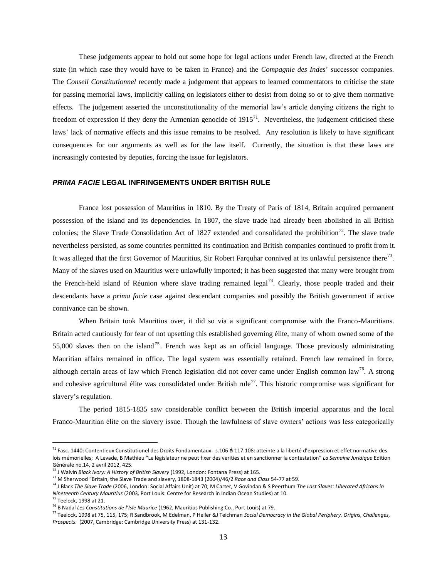These judgements appear to hold out some hope for legal actions under French law, directed at the French state (in which case they would have to be taken in France) and the *Compagnie des Indes*' successor companies. The *Conseil Constitutionnel* recently made a judgement that appears to learned commentators to criticise the state for passing memorial laws, implicitly calling on legislators either to desist from doing so or to give them normative effects. The judgement asserted the unconstitutionality of the memorial law's article denying citizens the right to freedom of expression if they deny the Armenian genocide of  $1915<sup>71</sup>$ . Nevertheless, the judgement criticised these laws' lack of normative effects and this issue remains to be resolved. Any resolution is likely to have significant consequences for our arguments as well as for the law itself. Currently, the situation is that these laws are increasingly contested by deputies, forcing the issue for legislators.

#### *PRIMA FACIE* **LEGAL INFRINGEMENTS UNDER BRITISH RULE**

France lost possession of Mauritius in 1810. By the Treaty of Paris of 1814, Britain acquired permanent possession of the island and its dependencies. In 1807, the slave trade had already been abolished in all British colonies; the Slave Trade Consolidation Act of 1827 extended and consolidated the prohibition<sup>72</sup>. The slave trade nevertheless persisted, as some countries permitted its continuation and British companies continued to profit from it. It was alleged that the first Governor of Mauritius, Sir Robert Farquhar connived at its unlawful persistence there<sup>73</sup>. Many of the slaves used on Mauritius were unlawfully imported; it has been suggested that many were brought from the French-held island of Réunion where slave trading remained legal<sup>74</sup>. Clearly, those people traded and their descendants have a *prima facie* case against descendant companies and possibly the British government if active connivance can be shown.

When Britain took Mauritius over, it did so via a significant compromise with the Franco-Mauritians. Britain acted cautiously for fear of not upsetting this established governing élite, many of whom owned some of the 55,000 slaves then on the island<sup>75</sup>. French was kept as an official language. Those previously administrating Mauritian affairs remained in office. The legal system was essentially retained. French law remained in force, although certain areas of law which French legislation did not cover came under English common law<sup>76</sup>. A strong and cohesive agricultural élite was consolidated under British rule<sup>77</sup>. This historic compromise was significant for slavery's regulation.

The period 1815-1835 saw considerable conflict between the British imperial apparatus and the local Franco-Mauritian élite on the slavery issue. Though the lawfulness of slave owners' actions was less categorically

<sup>&</sup>lt;sup>71</sup> Fasc. 1440: Contentieux Constitutionel des Droits Fondamentaux. s.106 å 117.108: atteinte a la liberté d'expression et effet normative des lois mémorielles; A Levade, B Mathieu "Le législateur ne peut fixer des verities et en sanctionner la contestation" La Semaine Juridique Edition Générale no.14, 2 avril 2012, 425.

<sup>72</sup> J Walvin *Black Ivory: A History of British Slavery* (1992*,* London: Fontana Press) at 165.

<sup>73</sup> M Sherwood "Britain, the Slave Trade and slavery, 1808-1843 (2004)/46/2 *Race and Class* 54-77 at 59.

<sup>74</sup> J Black *The Slave Trade* (2006, London: Social Affairs Unit) at 70; M Carter, V Govindan & S Peerthum *The Last Slaves: Liberated Africans in Nineteenth Century Mauritius* (2003*,* Port Louis: Centre for Research in Indian Ocean Studies) at 10.

<sup>75</sup> Teelock, 1998 at 21.

<sup>76</sup> B Nadal *Les Constitutions de l'Isle Maurice* (1962, Mauritius Publishing Co., Port Louis) at 79.

<sup>77</sup> Teelock, 1998 at 75, 115, 175; R Sandbrook, M Edelman, P Heller &J Teichman *Social Democracy in the Global Periphery. Origins, Challenges, Prospects*. (2007, Cambridge: Cambridge University Press) at 131-132.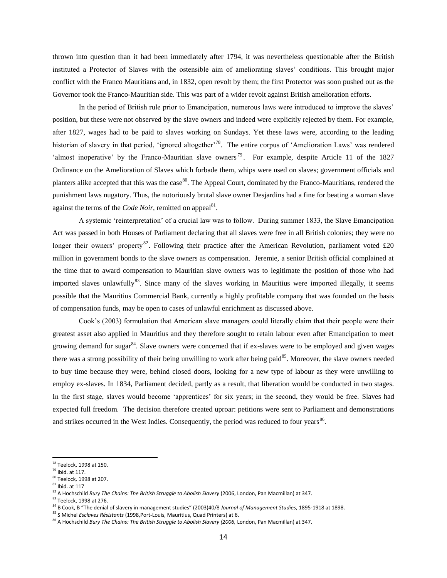thrown into question than it had been immediately after 1794, it was nevertheless questionable after the British instituted a Protector of Slaves with the ostensible aim of ameliorating slaves' conditions. This brought major conflict with the Franco Mauritians and, in 1832, open revolt by them; the first Protector was soon pushed out as the Governor took the Franco-Mauritian side. This was part of a wider revolt against British amelioration efforts.

In the period of British rule prior to Emancipation, numerous laws were introduced to improve the slaves' position, but these were not observed by the slave owners and indeed were explicitly rejected by them. For example, after 1827, wages had to be paid to slaves working on Sundays. Yet these laws were, according to the leading historian of slavery in that period, 'ignored altogether'<sup>78</sup>. The entire corpus of 'Amelioration Laws' was rendered 'almost inoperative' by the Franco-Mauritian slave owners<sup>79</sup>. For example, despite Article 11 of the 1827 Ordinance on the Amelioration of Slaves which forbade them, whips were used on slaves; government officials and planters alike accepted that this was the case<sup>80</sup>. The Appeal Court, dominated by the Franco-Mauritians, rendered the punishment laws nugatory. Thus, the notoriously brutal slave owner Desjardins had a fine for beating a woman slave against the terms of the *Code Noir*, remitted on appeal<sup>81</sup>.

A systemic 'reinterpretation' of a crucial law was to follow. During summer 1833, the Slave Emancipation Act was passed in both Houses of Parliament declaring that all slaves were free in all British colonies; they were no longer their owners' property<sup>82</sup>. Following their practice after the American Revolution, parliament voted £20 million in government bonds to the slave owners as compensation. Jeremie, a senior British official complained at the time that to award compensation to Mauritian slave owners was to legitimate the position of those who had imported slaves unlawfully<sup>83</sup>. Since many of the slaves working in Mauritius were imported illegally, it seems possible that the Mauritius Commercial Bank, currently a highly profitable company that was founded on the basis of compensation funds, may be open to cases of unlawful enrichment as discussed above.

Cook's (2003) formulation that American slave managers could literally claim that their people were their greatest asset also applied in Mauritius and they therefore sought to retain labour even after Emancipation to meet growing demand for sugar<sup>84</sup>. Slave owners were concerned that if ex-slaves were to be employed and given wages there was a strong possibility of their being unwilling to work after being paid<sup>85</sup>. Moreover, the slave owners needed to buy time because they were, behind closed doors, looking for a new type of labour as they were unwilling to employ ex-slaves. In 1834, Parliament decided, partly as a result, that liberation would be conducted in two stages. In the first stage, slaves would become 'apprentices' for six years; in the second, they would be free. Slaves had expected full freedom. The decision therefore created uproar: petitions were sent to Parliament and demonstrations and strikes occurred in the West Indies. Consequently, the period was reduced to four years<sup>86</sup>.

 $^{78}$  Teelock, 1998 at 150.

<sup>79</sup> Ibid. at 117.

<sup>80</sup> Teelock, 1998 at 207.

 $81$  Ibid. at 117

<sup>&</sup>lt;sup>82</sup> A Hochschild *Bury The Chains: The British Struggle to Abolish Slavery* (2006, London, Pan Macmillan) at 347.

<sup>83</sup> Teelock, 1998 at 276.

<sup>84</sup> B Cook, B "The denial of slavery in management studies" (2003)40/8 *Journal of Management Studies*, 1895-1918 at 1898.

<sup>85</sup> S Michel *Esclaves Résistants* (1998,Port-Louis, Mauritius, Quad Printers) at 6.

<sup>&</sup>lt;sup>86</sup> A Hochschild *Bury The Chains: The British Struggle to Abolish Slavery (2006, London, Pan Macmillan) at 347.*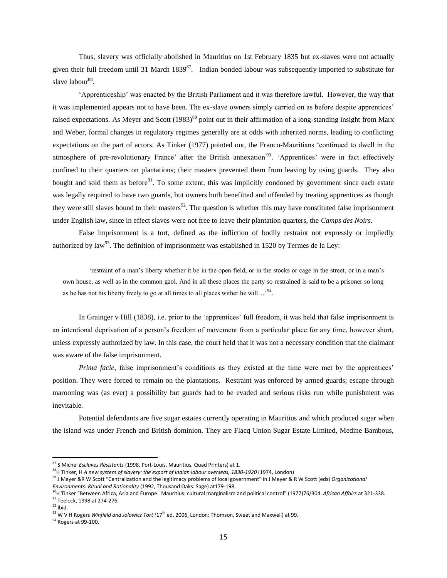Thus, slavery was officially abolished in Mauritius on 1st February 1835 but ex-slaves were not actually given their full freedom until 31 March 1839<sup>87</sup>. Indian bonded labour was subsequently imported to substitute for slave labour<sup>88</sup>.

'Apprenticeship' was enacted by the British Parliament and it was therefore lawful. However, the way that it was implemented appears not to have been. The ex-slave owners simply carried on as before despite apprentices' raised expectations. As Meyer and Scott (1983)<sup>89</sup> point out in their affirmation of a long-standing insight from Marx and Weber, formal changes in regulatory regimes generally are at odds with inherited norms, leading to conflicting expectations on the part of actors. As Tinker (1977) pointed out, the Franco-Mauritians 'continued to dwell in the atmosphere of pre-revolutionary France' after the British annexation <sup>90</sup> . 'Apprentices' were in fact effectively confined to their quarters on plantations; their masters prevented them from leaving by using guards. They also bought and sold them as before<sup>91</sup>. To some extent, this was implicitly condoned by government since each estate was legally required to have two guards, but owners both benefitted and offended by treating apprentices as though they were still slaves bound to their masters<sup>92</sup>. The question is whether this may have constituted false imprisonment under English law, since in effect slaves were not free to leave their plantation quarters, the *Camps des Noirs*.

False imprisonment is a tort, defined as the infliction of bodily restraint not expressly or impliedly authorized by law<sup>93</sup>. The definition of imprisonment was established in 1520 by Termes de la Ley:

'restraint of a man's liberty whether it be in the open field, or in the stocks or cage in the street, or in a man's own house, as well as in the common gaol. And in all these places the party so restrained is said to be a prisoner so long as he has not his liberty freely to go at all times to all places wither he will...' $^{94}$ .

In Grainger v Hill (1838), i.e. prior to the 'apprentices' full freedom, it was held that false imprisonment is an intentional deprivation of a person's freedom of movement from a particular place for any time, however short, unless expressly authorized by law. In this case, the court held that it was not a necessary condition that the claimant was aware of the false imprisonment.

*Prima facie*, false imprisonment's conditions as they existed at the time were met by the apprentices' position. They were forced to remain on the plantations. Restraint was enforced by armed guards; escape through marooning was (as ever) a possibility but guards had to be evaded and serious risks run while punishment was inevitable.

Potential defendants are five sugar estates currently operating in Mauritius and which produced sugar when the island was under French and British dominion. They are Flacq Union Sugar Estate Limited, Medine Bambous,

<sup>87</sup> S Michel *Esclaves Résistants* (1998, Port-Louis, Mauritius, Quad Printers) at 1.

<sup>88</sup>H Tinker, H *A new system of slavery: the export of Indian labour overseas, 1830-1920* (1974, London)

<sup>89</sup> J Meyer &R W Scott "Centralization and the legitimacy problems of local government" in J Meyer & R W Scott (eds) *Organizational Environments: Ritual and Rationality* (1992, Thousand Oaks: Sage) at179-198.

<sup>90</sup>H Tinker "Between Africa, Asia and Europe. Mauritius: cultural marginalism and political control" (1977)76/304 *African Affairs* at 321-338. 91 Teelock, 1998 at 274-276.

 $92$  Ibid.

<sup>&</sup>lt;sup>93</sup> W V H Rogers *Winfield and Jolowicz Tort (*17<sup>th</sup> ed, 2006, London: Thomson, Sweet and Maxwell) at 99.

<sup>&</sup>lt;sup>94</sup> Rogers at 99-100.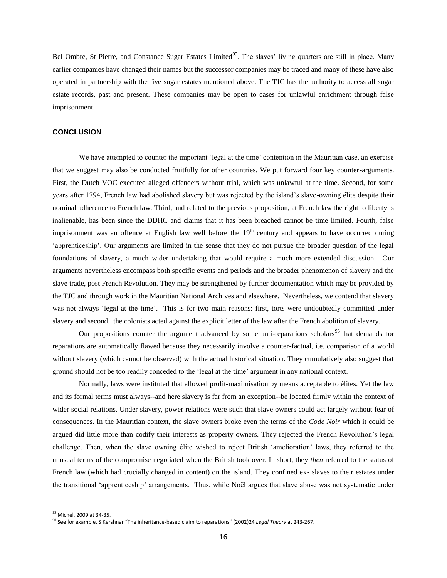Bel Ombre, St Pierre, and Constance Sugar Estates Limited<sup>95</sup>. The slaves' living quarters are still in place. Many earlier companies have changed their names but the successor companies may be traced and many of these have also operated in partnership with the five sugar estates mentioned above. The TJC has the authority to access all sugar estate records, past and present. These companies may be open to cases for unlawful enrichment through false imprisonment.

#### **CONCLUSION**

We have attempted to counter the important 'legal at the time' contention in the Mauritian case, an exercise that we suggest may also be conducted fruitfully for other countries. We put forward four key counter-arguments. First, the Dutch VOC executed alleged offenders without trial, which was unlawful at the time. Second, for some years after 1794, French law had abolished slavery but was rejected by the island's slave-owning élite despite their nominal adherence to French law. Third, and related to the previous proposition, at French law the right to liberty is inalienable, has been since the DDHC and claims that it has been breached cannot be time limited. Fourth, false imprisonment was an offence at English law well before the  $19<sup>th</sup>$  century and appears to have occurred during 'apprenticeship'. Our arguments are limited in the sense that they do not pursue the broader question of the legal foundations of slavery, a much wider undertaking that would require a much more extended discussion. Our arguments nevertheless encompass both specific events and periods and the broader phenomenon of slavery and the slave trade, post French Revolution. They may be strengthened by further documentation which may be provided by the TJC and through work in the Mauritian National Archives and elsewhere. Nevertheless, we contend that slavery was not always 'legal at the time'. This is for two main reasons: first, torts were undoubtedly committed under slavery and second, the colonists acted against the explicit letter of the law after the French abolition of slavery.

Our propositions counter the argument advanced by some anti-reparations scholars<sup>96</sup> that demands for reparations are automatically flawed because they necessarily involve a counter-factual, i.e. comparison of a world without slavery (which cannot be observed) with the actual historical situation. They cumulatively also suggest that ground should not be too readily conceded to the 'legal at the time' argument in any national context.

Normally, laws were instituted that allowed profit-maximisation by means acceptable to élites. Yet the law and its formal terms must always--and here slavery is far from an exception--be located firmly within the context of wider social relations. Under slavery, power relations were such that slave owners could act largely without fear of consequences. In the Mauritian context, the slave owners broke even the terms of the *Code Noir* which it could be argued did little more than codify their interests as property owners. They rejected the French Revolution's legal challenge. Then, when the slave owning élite wished to reject British 'amelioration' laws, they referred to the unusual terms of the compromise negotiated when the British took over. In short, they *then* referred to the status of French law (which had crucially changed in content) on the island. They confined ex- slaves to their estates under the transitional 'apprenticeship' arrangements. Thus, while Noël argues that slave abuse was not systematic under

<sup>&</sup>lt;sup>95</sup> Michel, 2009 at 34-35.

<sup>96</sup> See for example, S Kershnar "The inheritance-based claim to reparations" (2002)24 *Legal Theory* at 243-267.